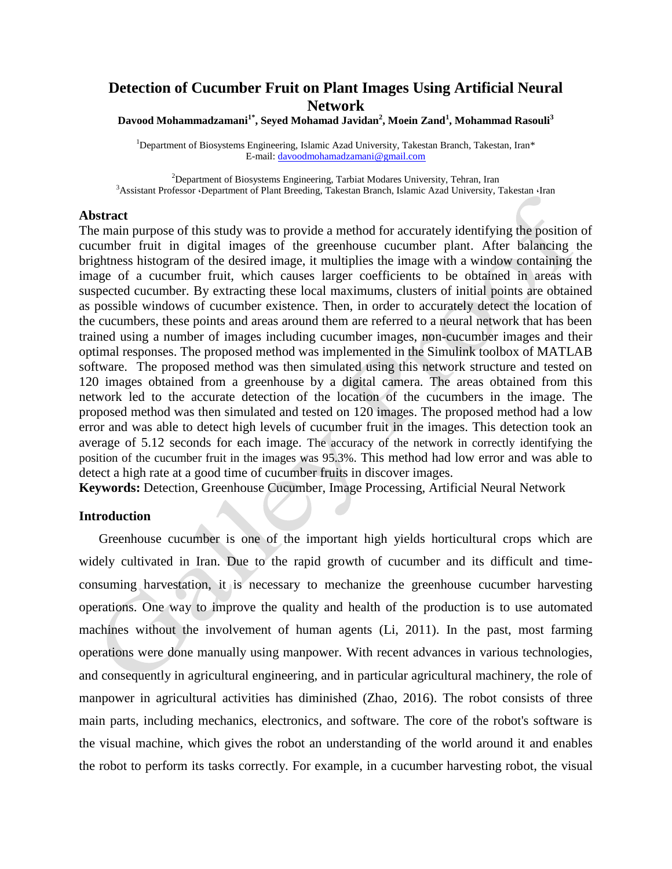# **Detection of Cucumber Fruit on Plant Images Using Artificial Neural Network**

**Davood Mohammadzamani1\*, Seyed Mohamad Javidan<sup>2</sup> , Moein Zand<sup>1</sup> , Mohammad Rasouli<sup>3</sup>**

<sup>1</sup>Department of Biosystems Engineering, Islamic Azad University, Takestan Branch, Takestan, Iran\* E-mail: [davoodmohamadzamani@gmail.com](mailto:davoodmohamadzamani@gmail.com)

 $^{2}$ Department of Biosystems Engineering, Tarbiat Modares University, Tehran, Iran 3Assistant Professor ·Department of Plant Breeding, Takestan Branch, Islamic Azad University, Takestan ·Iran

#### **Abstract**

The main purpose of this study was to provide a method for accurately identifying the position of cucumber fruit in digital images of the greenhouse cucumber plant. After balancing the brightness histogram of the desired image, it multiplies the image with a window containing the image of a cucumber fruit, which causes larger coefficients to be obtained in areas with suspected cucumber. By extracting these local maximums, clusters of initial points are obtained as possible windows of cucumber existence. Then, in order to accurately detect the location of the cucumbers, these points and areas around them are referred to a neural network that has been trained using a number of images including cucumber images, non-cucumber images and their optimal responses. The proposed method was implemented in the Simulink toolbox of MATLAB software. The proposed method was then simulated using this network structure and tested on 120 images obtained from a greenhouse by a digital camera. The areas obtained from this network led to the accurate detection of the location of the cucumbers in the image. The proposed method was then simulated and tested on 120 images. The proposed method had a low error and was able to detect high levels of cucumber fruit in the images. This detection took an average of 5.12 seconds for each image. The accuracy of the network in correctly identifying the position of the cucumber fruit in the images was 95.3%. This method had low error and was able to detect a high rate at a good time of cucumber fruits in discover images.

**Keywords:** Detection, Greenhouse Cucumber, Image Processing, Artificial Neural Network

## **Introduction**

Greenhouse cucumber is one of the important high yields horticultural crops which are widely cultivated in Iran. Due to the rapid growth of cucumber and its difficult and timeconsuming harvestation, it is necessary to mechanize the greenhouse cucumber harvesting operations. One way to improve the quality and health of the production is to use automated machines without the involvement of human agents (Li, 2011). In the past, most farming operations were done manually using manpower. With recent advances in various technologies, and consequently in agricultural engineering, and in particular agricultural machinery, the role of manpower in agricultural activities has diminished (Zhao, 2016). The robot consists of three main parts, including mechanics, electronics, and software. The core of the robot's software is the visual machine, which gives the robot an understanding of the world around it and enables the robot to perform its tasks correctly. For example, in a cucumber harvesting robot, the visual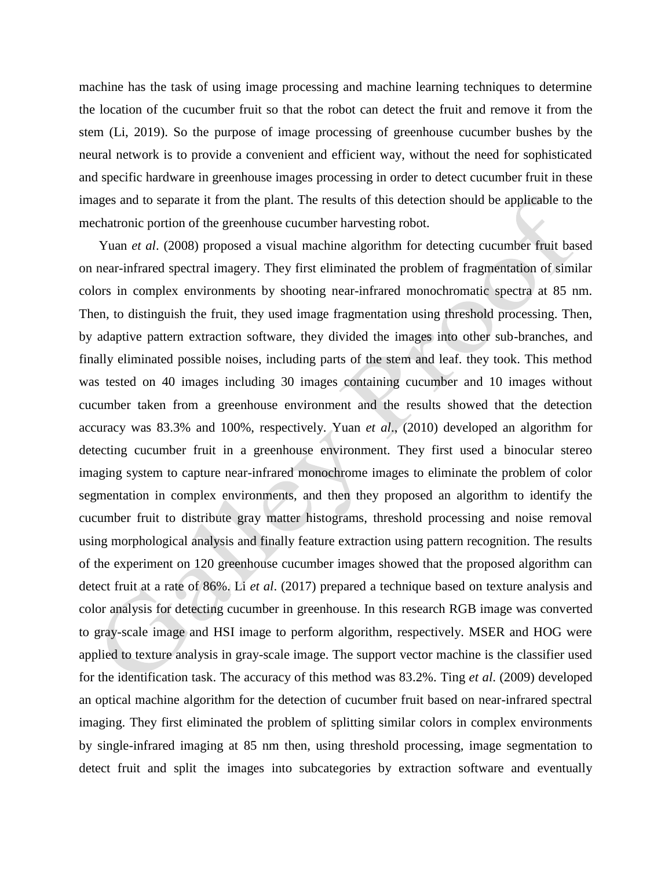machine has the task of using image processing and machine learning techniques to determine the location of the cucumber fruit so that the robot can detect the fruit and remove it from the stem (Li, 2019). So the purpose of image processing of greenhouse cucumber bushes by the neural network is to provide a convenient and efficient way, without the need for sophisticated and specific hardware in greenhouse images processing in order to detect cucumber fruit in these images and to separate it from the plant. The results of this detection should be applicable to the mechatronic portion of the greenhouse cucumber harvesting robot.

Yuan *et al*. (2008) proposed a visual machine algorithm for detecting cucumber fruit based on near-infrared spectral imagery. They first eliminated the problem of fragmentation of similar colors in complex environments by shooting near-infrared monochromatic spectra at 85 nm. Then, to distinguish the fruit, they used image fragmentation using threshold processing. Then, by adaptive pattern extraction software, they divided the images into other sub-branches, and finally eliminated possible noises, including parts of the stem and leaf. they took. This method was tested on 40 images including 30 images containing cucumber and 10 images without cucumber taken from a greenhouse environment and the results showed that the detection accuracy was 83.3% and 100%, respectively. Yuan *et al*., (2010) developed an algorithm for detecting cucumber fruit in a greenhouse environment. They first used a binocular stereo imaging system to capture near-infrared monochrome images to eliminate the problem of color segmentation in complex environments, and then they proposed an algorithm to identify the cucumber fruit to distribute gray matter histograms, threshold processing and noise removal using morphological analysis and finally feature extraction using pattern recognition. The results of the experiment on 120 greenhouse cucumber images showed that the proposed algorithm can detect fruit at a rate of 86%. Li *et al*. (2017) prepared a technique based on texture analysis and color analysis for detecting cucumber in greenhouse. In this research RGB image was converted to gray-scale image and HSI image to perform algorithm, respectively. MSER and HOG were applied to texture analysis in gray-scale image. The support vector machine is the classifier used for the identification task. The accuracy of this method was 83.2%. Ting *et al*. (2009) developed an optical machine algorithm for the detection of cucumber fruit based on near-infrared spectral imaging. They first eliminated the problem of splitting similar colors in complex environments by single-infrared imaging at 85 nm then, using threshold processing, image segmentation to detect fruit and split the images into subcategories by extraction software and eventually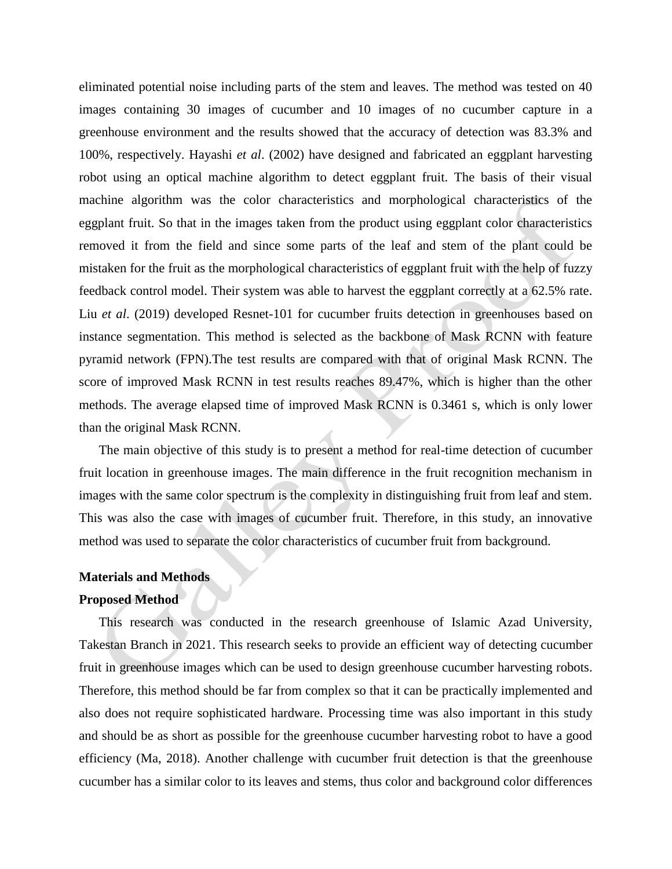eliminated potential noise including parts of the stem and leaves. The method was tested on 40 images containing 30 images of cucumber and 10 images of no cucumber capture in a greenhouse environment and the results showed that the accuracy of detection was 83.3% and 100%, respectively. Hayashi *et al*. (2002) have designed and fabricated an eggplant harvesting robot using an optical machine algorithm to detect eggplant fruit. The basis of their visual machine algorithm was the color characteristics and morphological characteristics of the eggplant fruit. So that in the images taken from the product using eggplant color characteristics removed it from the field and since some parts of the leaf and stem of the plant could be mistaken for the fruit as the morphological characteristics of eggplant fruit with the help of fuzzy feedback control model. Their system was able to harvest the eggplant correctly at a 62.5% rate. Liu *et al*. (2019) developed Resnet-101 for cucumber fruits detection in greenhouses based on instance segmentation. This method is selected as the backbone of Mask RCNN with feature pyramid network (FPN).The test results are compared with that of original Mask RCNN. The score of improved Mask RCNN in test results reaches 89.47%, which is higher than the other methods. The average elapsed time of improved Mask RCNN is 0.3461 s, which is only lower than the original Mask RCNN.

The main objective of this study is to present a method for real-time detection of cucumber fruit location in greenhouse images. The main difference in the fruit recognition mechanism in images with the same color spectrum is the complexity in distinguishing fruit from leaf and stem. This was also the case with images of cucumber fruit. Therefore, in this study, an innovative method was used to separate the color characteristics of cucumber fruit from background.

#### **Materials and Methods**

### **Proposed Method**

This research was conducted in the research greenhouse of Islamic Azad University, Takestan Branch in 2021. This research seeks to provide an efficient way of detecting cucumber fruit in greenhouse images which can be used to design greenhouse cucumber harvesting robots. Therefore, this method should be far from complex so that it can be practically implemented and also does not require sophisticated hardware. Processing time was also important in this study and should be as short as possible for the greenhouse cucumber harvesting robot to have a good efficiency (Ma, 2018). Another challenge with cucumber fruit detection is that the greenhouse cucumber has a similar color to its leaves and stems, thus color and background color differences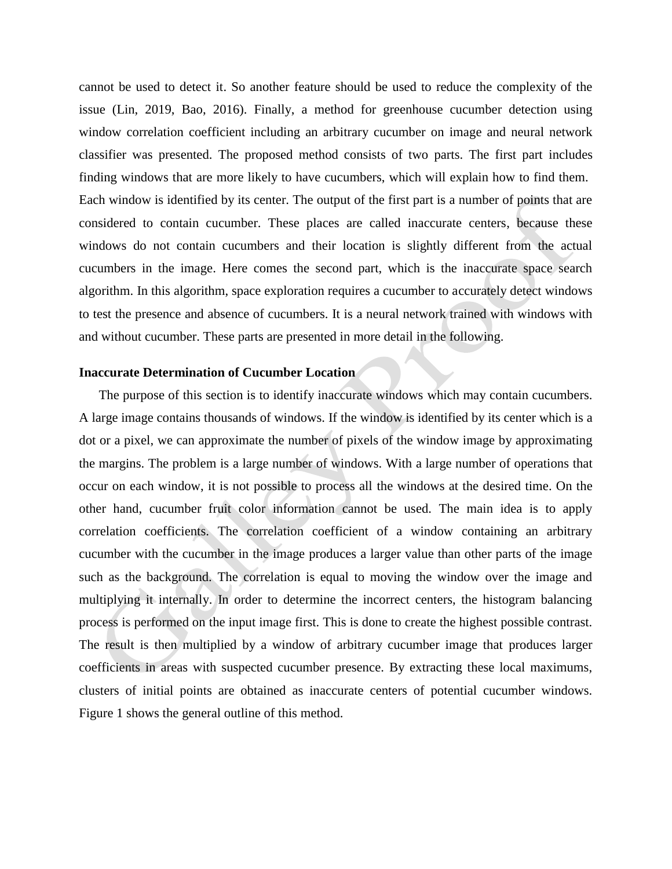cannot be used to detect it. So another feature should be used to reduce the complexity of the issue (Lin, 2019, Bao, 2016). Finally, a method for greenhouse cucumber detection using window correlation coefficient including an arbitrary cucumber on image and neural network classifier was presented. The proposed method consists of two parts. The first part includes finding windows that are more likely to have cucumbers, which will explain how to find them. Each window is identified by its center. The output of the first part is a number of points that are considered to contain cucumber. These places are called inaccurate centers, because these windows do not contain cucumbers and their location is slightly different from the actual cucumbers in the image. Here comes the second part, which is the inaccurate space search algorithm. In this algorithm, space exploration requires a cucumber to accurately detect windows to test the presence and absence of cucumbers. It is a neural network trained with windows with and without cucumber. These parts are presented in more detail in the following.

## **Inaccurate Determination of Cucumber Location**

The purpose of this section is to identify inaccurate windows which may contain cucumbers. A large image contains thousands of windows. If the window is identified by its center which is a dot or a pixel, we can approximate the number of pixels of the window image by approximating the margins. The problem is a large number of windows. With a large number of operations that occur on each window, it is not possible to process all the windows at the desired time. On the other hand, cucumber fruit color information cannot be used. The main idea is to apply correlation coefficients. The correlation coefficient of a window containing an arbitrary cucumber with the cucumber in the image produces a larger value than other parts of the image such as the background. The correlation is equal to moving the window over the image and multiplying it internally. In order to determine the incorrect centers, the histogram balancing process is performed on the input image first. This is done to create the highest possible contrast. The result is then multiplied by a window of arbitrary cucumber image that produces larger coefficients in areas with suspected cucumber presence. By extracting these local maximums, clusters of initial points are obtained as inaccurate centers of potential cucumber windows. Figure 1 shows the general outline of this method.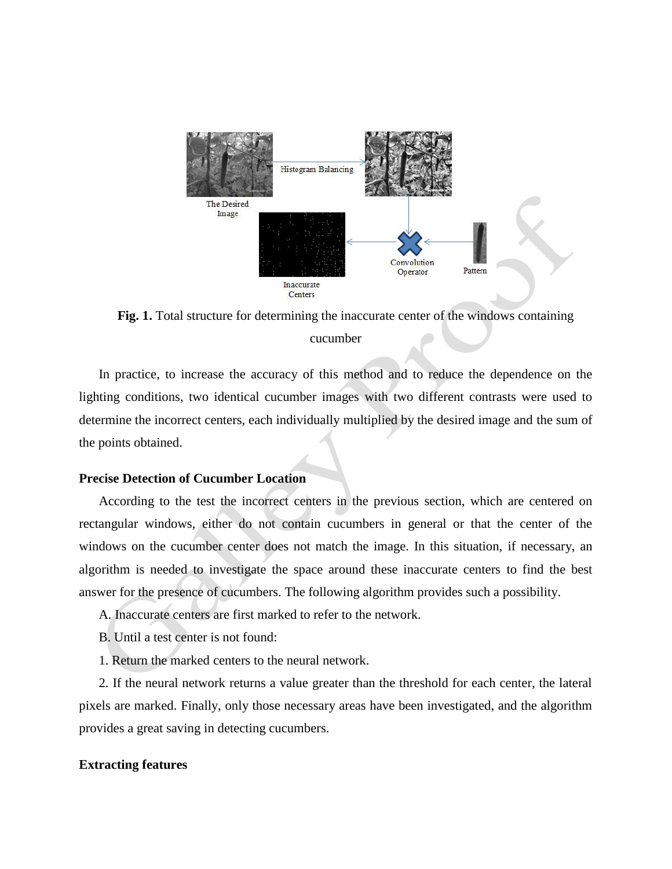

**Fig. 1.** Total structure for determining the inaccurate center of the windows containing cucumber

In practice, to increase the accuracy of this method and to reduce the dependence on the lighting conditions, two identical cucumber images with two different contrasts were used to determine the incorrect centers, each individually multiplied by the desired image and the sum of the points obtained.

### **Precise Detection of Cucumber Location**

According to the test the incorrect centers in the previous section, which are centered on rectangular windows, either do not contain cucumbers in general or that the center of the windows on the cucumber center does not match the image. In this situation, if necessary, an algorithm is needed to investigate the space around these inaccurate centers to find the best answer for the presence of cucumbers. The following algorithm provides such a possibility.

- A. Inaccurate centers are first marked to refer to the network.
- B. Until a test center is not found:
- 1. Return the marked centers to the neural network.

2. If the neural network returns a value greater than the threshold for each center, the lateral pixels are marked. Finally, only those necessary areas have been investigated, and the algorithm provides a great saving in detecting cucumbers.

#### **Extracting features**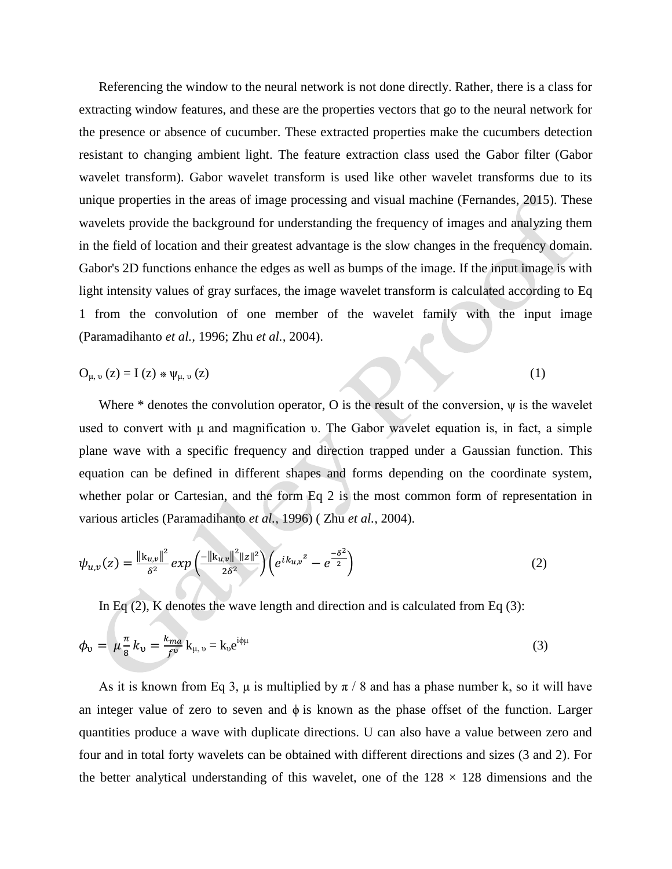Referencing the window to the neural network is not done directly. Rather, there is a class for extracting window features, and these are the properties vectors that go to the neural network for the presence or absence of cucumber. These extracted properties make the cucumbers detection resistant to changing ambient light. The feature extraction class used the Gabor filter (Gabor wavelet transform). Gabor wavelet transform is used like other wavelet transforms due to its unique properties in the areas of image processing and visual machine (Fernandes, 2015). These wavelets provide the background for understanding the frequency of images and analyzing them in the field of location and their greatest advantage is the slow changes in the frequency domain. Gabor's 2D functions enhance the edges as well as bumps of the image. If the input image is with light intensity values of gray surfaces, the image wavelet transform is calculated according to Eq 1 from the convolution of one member of the wavelet family with the input image (Paramadihanto *et al.,* 1996; Zhu *et al.,* 2004).

$$
O_{\mu,\nu}(z) = I(z) \ast \psi_{\mu,\nu}(z) \tag{1}
$$

Where  $*$  denotes the convolution operator, O is the result of the conversion,  $\psi$  is the wavelet used to convert with μ and magnification υ. The Gabor wavelet equation is, in fact, a simple plane wave with a specific frequency and direction trapped under a Gaussian function. This equation can be defined in different shapes and forms depending on the coordinate system, whether polar or Cartesian, and the form Eq 2 is the most common form of representation in various articles (Paramadihanto *et al.,* 1996) ( Zhu *et al.,* 2004).

$$
\psi_{u,v}(z) = \frac{\|k_{u,v}\|^2}{\delta^2} \exp\left(\frac{-\|k_{u,v}\|^2 \|z\|^2}{2\delta^2}\right) \left(e^{ik_{u,v}z} - e^{\frac{-\delta^2}{2}}\right) \tag{2}
$$

In Eq  $(2)$ , K denotes the wave length and direction and is calculated from Eq  $(3)$ :

$$
\phi_{\upsilon} = \mu \frac{\pi}{8} k_{\upsilon} = \frac{k_{ma}}{f^{\upsilon}} k_{\mu,\upsilon} = k_{\upsilon} e^{i\phi\mu}
$$
\n(3)

As it is known from Eq 3,  $\mu$  is multiplied by  $\pi$  / 8 and has a phase number k, so it will have an integer value of zero to seven and  $\phi$  is known as the phase offset of the function. Larger quantities produce a wave with duplicate directions. U can also have a value between zero and four and in total forty wavelets can be obtained with different directions and sizes (3 and 2). For the better analytical understanding of this wavelet, one of the  $128 \times 128$  dimensions and the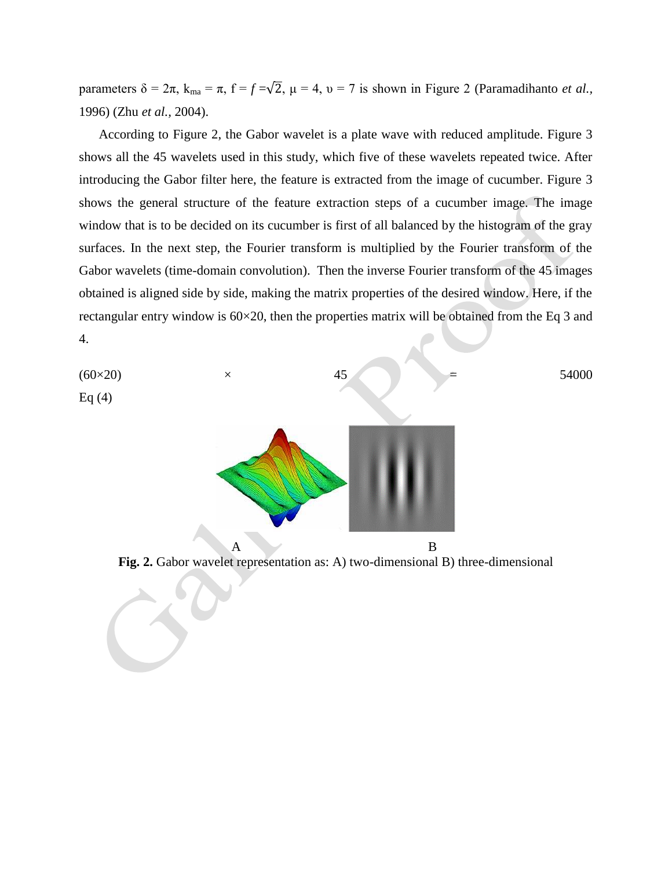parameters  $\delta = 2\pi$ ,  $k_{\text{ma}} = \pi$ ,  $f = f = \sqrt{2}$ ,  $\mu = 4$ ,  $\nu = 7$  is shown in Figure 2 (Paramadihanto *et al.*, 1996) (Zhu *et al.,* 2004).

According to Figure 2, the Gabor wavelet is a plate wave with reduced amplitude. Figure 3 shows all the 45 wavelets used in this study, which five of these wavelets repeated twice. After introducing the Gabor filter here, the feature is extracted from the image of cucumber. Figure 3 shows the general structure of the feature extraction steps of a cucumber image. The image window that is to be decided on its cucumber is first of all balanced by the histogram of the gray surfaces. In the next step, the Fourier transform is multiplied by the Fourier transform of the Gabor wavelets (time-domain convolution). Then the inverse Fourier transform of the 45 images obtained is aligned side by side, making the matrix properties of the desired window. Here, if the rectangular entry window is 60×20, then the properties matrix will be obtained from the Eq 3 and 4.

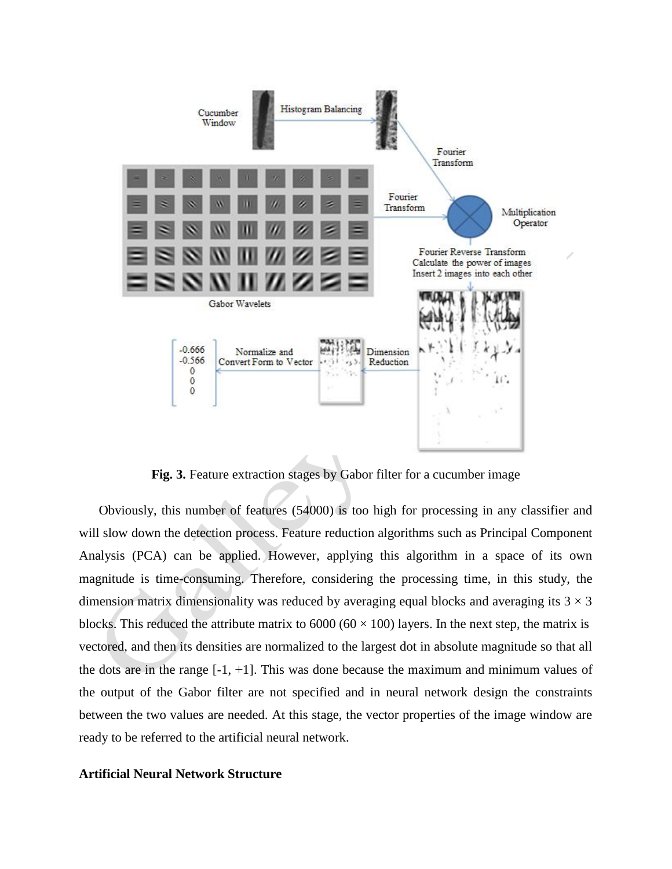

**Fig. 3.** Feature extraction stages by Gabor filter for a cucumber image

Obviously, this number of features (54000) is too high for processing in any classifier and will slow down the detection process. Feature reduction algorithms such as Principal Component Analysis (PCA) can be applied. However, applying this algorithm in a space of its own magnitude is time-consuming. Therefore, considering the processing time, in this study, the dimension matrix dimensionality was reduced by averaging equal blocks and averaging its  $3 \times 3$ blocks. This reduced the attribute matrix to  $6000 (60 \times 100)$  layers. In the next step, the matrix is vectored, and then its densities are normalized to the largest dot in absolute magnitude so that all the dots are in the range  $[-1, +1]$ . This was done because the maximum and minimum values of the output of the Gabor filter are not specified and in neural network design the constraints between the two values are needed. At this stage, the vector properties of the image window are ready to be referred to the artificial neural network.

### **Artificial Neural Network Structure**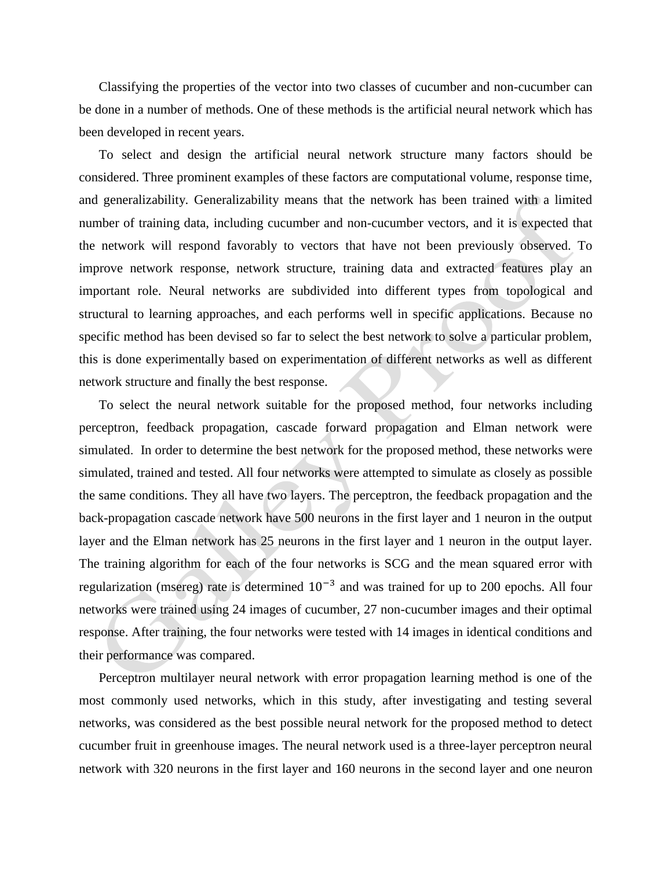Classifying the properties of the vector into two classes of cucumber and non-cucumber can be done in a number of methods. One of these methods is the artificial neural network which has been developed in recent years.

To select and design the artificial neural network structure many factors should be considered. Three prominent examples of these factors are computational volume, response time, and generalizability. Generalizability means that the network has been trained with a limited number of training data, including cucumber and non-cucumber vectors, and it is expected that the network will respond favorably to vectors that have not been previously observed. To improve network response, network structure, training data and extracted features play an important role. Neural networks are subdivided into different types from topological and structural to learning approaches, and each performs well in specific applications. Because no specific method has been devised so far to select the best network to solve a particular problem, this is done experimentally based on experimentation of different networks as well as different network structure and finally the best response.

To select the neural network suitable for the proposed method, four networks including perceptron, feedback propagation, cascade forward propagation and Elman network were simulated. In order to determine the best network for the proposed method, these networks were simulated, trained and tested. All four networks were attempted to simulate as closely as possible the same conditions. They all have two layers. The perceptron, the feedback propagation and the back-propagation cascade network have 500 neurons in the first layer and 1 neuron in the output layer and the Elman network has 25 neurons in the first layer and 1 neuron in the output layer. The training algorithm for each of the four networks is SCG and the mean squared error with regularization (msereg) rate is determined  $10^{-3}$  and was trained for up to 200 epochs. All four networks were trained using 24 images of cucumber, 27 non-cucumber images and their optimal response. After training, the four networks were tested with 14 images in identical conditions and their performance was compared.

Perceptron multilayer neural network with error propagation learning method is one of the most commonly used networks, which in this study, after investigating and testing several networks, was considered as the best possible neural network for the proposed method to detect cucumber fruit in greenhouse images. The neural network used is a three-layer perceptron neural network with 320 neurons in the first layer and 160 neurons in the second layer and one neuron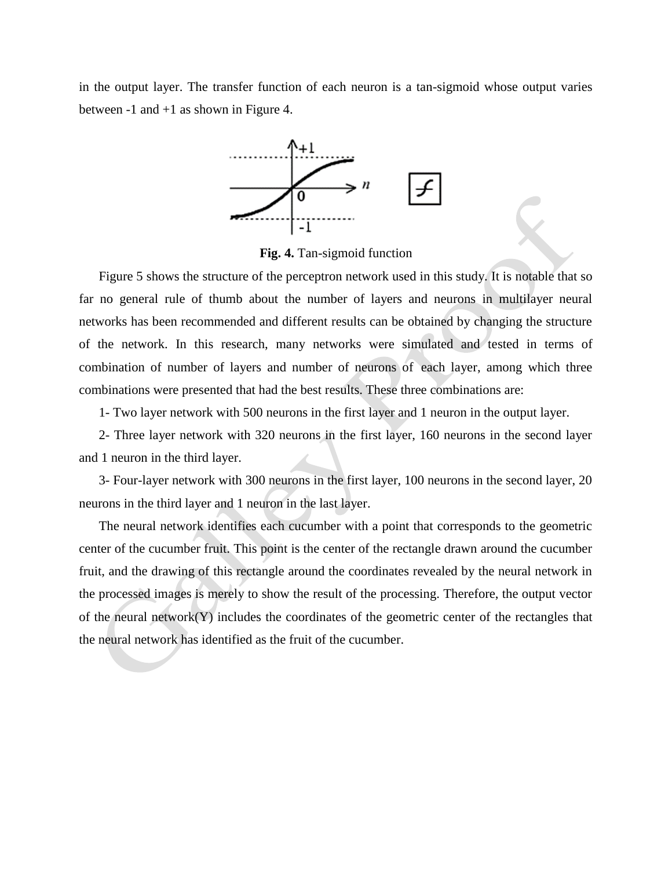in the output layer. The transfer function of each neuron is a tan-sigmoid whose output varies between -1 and +1 as shown in Figure 4.



**Fig. 4.** Tan-sigmoid function

Figure 5 shows the structure of the perceptron network used in this study. It is notable that so far no general rule of thumb about the number of layers and neurons in multilayer neural networks has been recommended and different results can be obtained by changing the structure of the network. In this research, many networks were simulated and tested in terms of combination of number of layers and number of neurons of each layer, among which three combinations were presented that had the best results. These three combinations are:

1- Two layer network with 500 neurons in the first layer and 1 neuron in the output layer.

2- Three layer network with 320 neurons in the first layer, 160 neurons in the second layer and 1 neuron in the third layer.

3- Four-layer network with 300 neurons in the first layer, 100 neurons in the second layer, 20 neurons in the third layer and 1 neuron in the last layer.

The neural network identifies each cucumber with a point that corresponds to the geometric center of the cucumber fruit. This point is the center of the rectangle drawn around the cucumber fruit, and the drawing of this rectangle around the coordinates revealed by the neural network in the processed images is merely to show the result of the processing. Therefore, the output vector of the neural network $(Y)$  includes the coordinates of the geometric center of the rectangles that the neural network has identified as the fruit of the cucumber.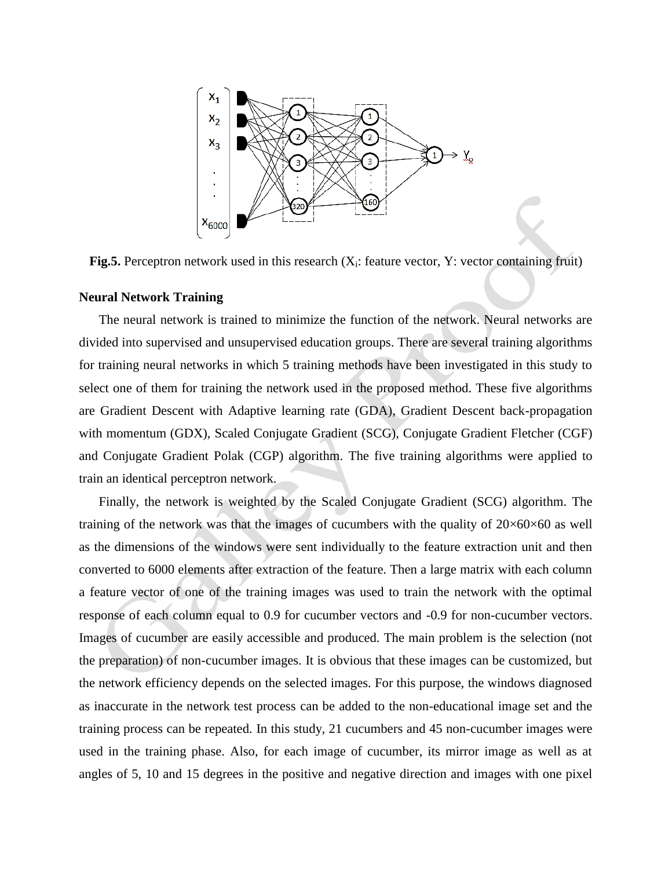

Fig.5. Perceptron network used in this research (X<sub>i</sub>: feature vector, Y: vector containing fruit)

#### **Neural Network Training**

The neural network is trained to minimize the function of the network. Neural networks are divided into supervised and unsupervised education groups. There are several training algorithms for training neural networks in which 5 training methods have been investigated in this study to select one of them for training the network used in the proposed method. These five algorithms are Gradient Descent with Adaptive learning rate (GDA), Gradient Descent back-propagation with momentum (GDX), Scaled Conjugate Gradient (SCG), Conjugate Gradient Fletcher (CGF) and Conjugate Gradient Polak (CGP) algorithm. The five training algorithms were applied to train an identical perceptron network.

Finally, the network is weighted by the Scaled Conjugate Gradient (SCG) algorithm. The training of the network was that the images of cucumbers with the quality of  $20\times60\times60$  as well as the dimensions of the windows were sent individually to the feature extraction unit and then converted to 6000 elements after extraction of the feature. Then a large matrix with each column a feature vector of one of the training images was used to train the network with the optimal response of each column equal to 0.9 for cucumber vectors and -0.9 for non-cucumber vectors. Images of cucumber are easily accessible and produced. The main problem is the selection (not the preparation) of non-cucumber images. It is obvious that these images can be customized, but the network efficiency depends on the selected images. For this purpose, the windows diagnosed as inaccurate in the network test process can be added to the non-educational image set and the training process can be repeated. In this study, 21 cucumbers and 45 non-cucumber images were used in the training phase. Also, for each image of cucumber, its mirror image as well as at angles of 5, 10 and 15 degrees in the positive and negative direction and images with one pixel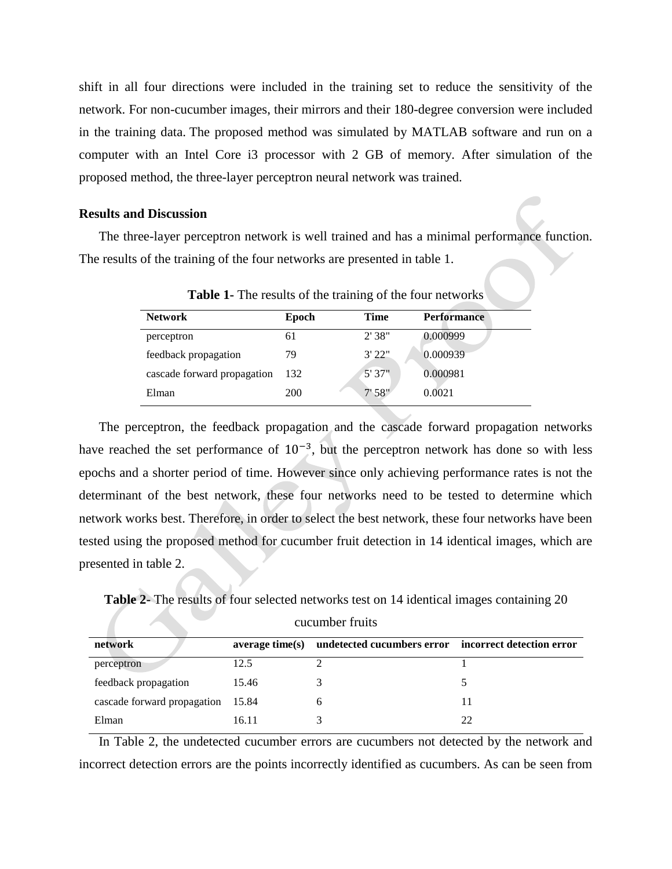shift in all four directions were included in the training set to reduce the sensitivity of the network. For non-cucumber images, their mirrors and their 180-degree conversion were included in the training data. The proposed method was simulated by MATLAB software and run on a computer with an Intel Core i3 processor with 2 GB of memory. After simulation of the proposed method, the three-layer perceptron neural network was trained.

## **Results and Discussion**

The three-layer perceptron network is well trained and has a minimal performance function. The results of the training of the four networks are presented in table 1.

| <b>Network</b>              | Epoch | <b>Time</b> | <b>Performance</b> |  |
|-----------------------------|-------|-------------|--------------------|--|
| perceptron                  | 61    | 2'38"       | 0.000999           |  |
| feedback propagation        | 79    | 3'22"       | 0.000939           |  |
| cascade forward propagation | 132   | 5'37''      | 0.000981           |  |
| Elman                       | 200   | 7'58''      | 0.0021             |  |
|                             |       |             |                    |  |

**Table 1-** The results of the training of the four networks

The perceptron, the feedback propagation and the cascade forward propagation networks have reached the set performance of  $10^{-3}$ , but the perceptron network has done so with less epochs and a shorter period of time. However since only achieving performance rates is not the determinant of the best network, these four networks need to be tested to determine which network works best. Therefore, in order to select the best network, these four networks have been tested using the proposed method for cucumber fruit detection in 14 identical images, which are presented in table 2.

**Table 2-** The results of four selected networks test on 14 identical images containing 20 cucumber fruits

| network                           | average time(s) | undetected cucumbers error incorrect detection error |  |
|-----------------------------------|-----------------|------------------------------------------------------|--|
| perceptron                        | 12.5            |                                                      |  |
| feedback propagation              | 15.46           |                                                      |  |
| cascade forward propagation 15.84 |                 |                                                      |  |
| Elman                             | 16.11           |                                                      |  |

In Table 2, the undetected cucumber errors are cucumbers not detected by the network and incorrect detection errors are the points incorrectly identified as cucumbers. As can be seen from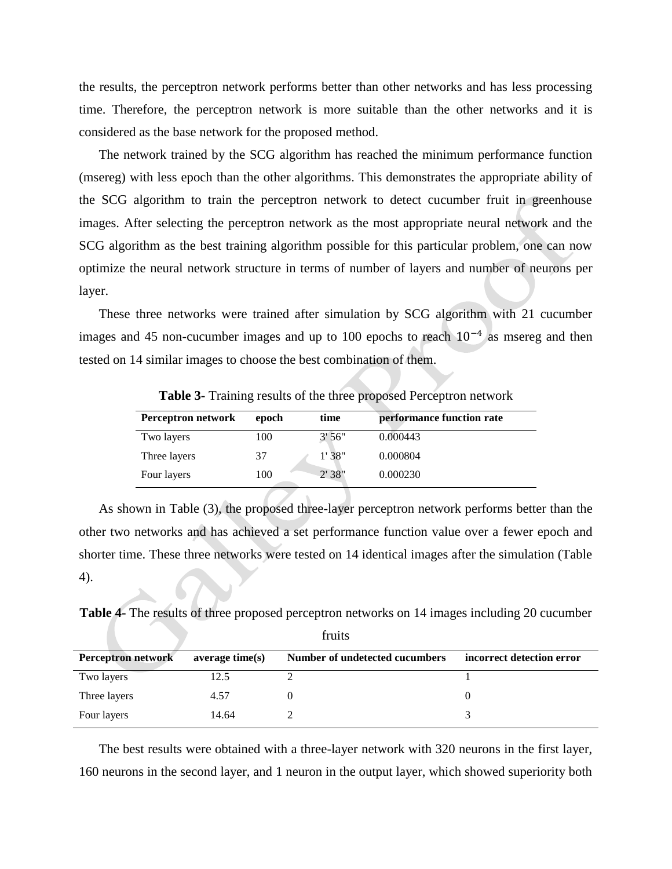the results, the perceptron network performs better than other networks and has less processing time. Therefore, the perceptron network is more suitable than the other networks and it is considered as the base network for the proposed method.

The network trained by the SCG algorithm has reached the minimum performance function (msereg) with less epoch than the other algorithms. This demonstrates the appropriate ability of the SCG algorithm to train the perceptron network to detect cucumber fruit in greenhouse images. After selecting the perceptron network as the most appropriate neural network and the SCG algorithm as the best training algorithm possible for this particular problem, one can now optimize the neural network structure in terms of number of layers and number of neurons per layer.

These three networks were trained after simulation by SCG algorithm with 21 cucumber images and 45 non-cucumber images and up to 100 epochs to reach  $10^{-4}$  as msereg and then tested on 14 similar images to choose the best combination of them.

| Perceptron network | epoch | time   | performance function rate |
|--------------------|-------|--------|---------------------------|
| Two layers         | 100   | 3'56'' | 0.000443                  |
| Three layers       | 37    | 1'38"  | 0.000804                  |
| Four layers        | 100   | 2'38'' | 0.000230                  |

**Table 3-** Training results of the three proposed Perceptron network

As shown in Table (3), the proposed three-layer perceptron network performs better than the other two networks and has achieved a set performance function value over a fewer epoch and shorter time. These three networks were tested on 14 identical images after the simulation (Table 4).

**Table 4-** The results of three proposed perceptron networks on 14 images including 20 cucumber

| fruits                    |                 |                                |                           |  |
|---------------------------|-----------------|--------------------------------|---------------------------|--|
| <b>Perceptron network</b> | average time(s) | Number of undetected cucumbers | incorrect detection error |  |
| Two layers                | 12.5            |                                |                           |  |
| Three layers              | 4.57            |                                |                           |  |
| Four layers               | 14.64           |                                |                           |  |

The best results were obtained with a three-layer network with 320 neurons in the first layer, 160 neurons in the second layer, and 1 neuron in the output layer, which showed superiority both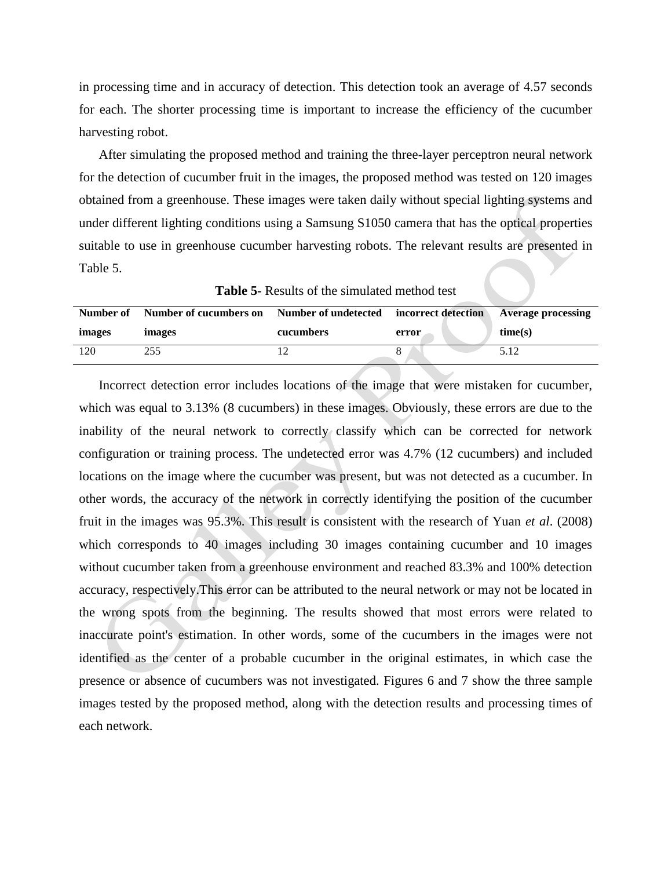in processing time and in accuracy of detection. This detection took an average of 4.57 seconds for each. The shorter processing time is important to increase the efficiency of the cucumber harvesting robot.

After simulating the proposed method and training the three-layer perceptron neural network for the detection of cucumber fruit in the images, the proposed method was tested on 120 images obtained from a greenhouse. These images were taken daily without special lighting systems and under different lighting conditions using a Samsung S1050 camera that has the optical properties suitable to use in greenhouse cucumber harvesting robots. The relevant results are presented in Table 5.

**Table 5-** Results of the simulated method test

| Number of | Number of cucumbers on Number of undetected incorrect detection |           |       | <b>Average processing</b> |
|-----------|-----------------------------------------------------------------|-----------|-------|---------------------------|
| images    | images                                                          | cucumbers | error | time(s)                   |
| 120       | 255                                                             |           |       | 5.12                      |

Incorrect detection error includes locations of the image that were mistaken for cucumber, which was equal to 3.13% (8 cucumbers) in these images. Obviously, these errors are due to the inability of the neural network to correctly classify which can be corrected for network configuration or training process. The undetected error was 4.7% (12 cucumbers) and included locations on the image where the cucumber was present, but was not detected as a cucumber. In other words, the accuracy of the network in correctly identifying the position of the cucumber fruit in the images was 95.3%. This result is consistent with the research of Yuan *et al*. (2008) which corresponds to 40 images including 30 images containing cucumber and 10 images without cucumber taken from a greenhouse environment and reached 83.3% and 100% detection accuracy, respectively.This error can be attributed to the neural network or may not be located in the wrong spots from the beginning. The results showed that most errors were related to inaccurate point's estimation. In other words, some of the cucumbers in the images were not identified as the center of a probable cucumber in the original estimates, in which case the presence or absence of cucumbers was not investigated. Figures 6 and 7 show the three sample images tested by the proposed method, along with the detection results and processing times of each network.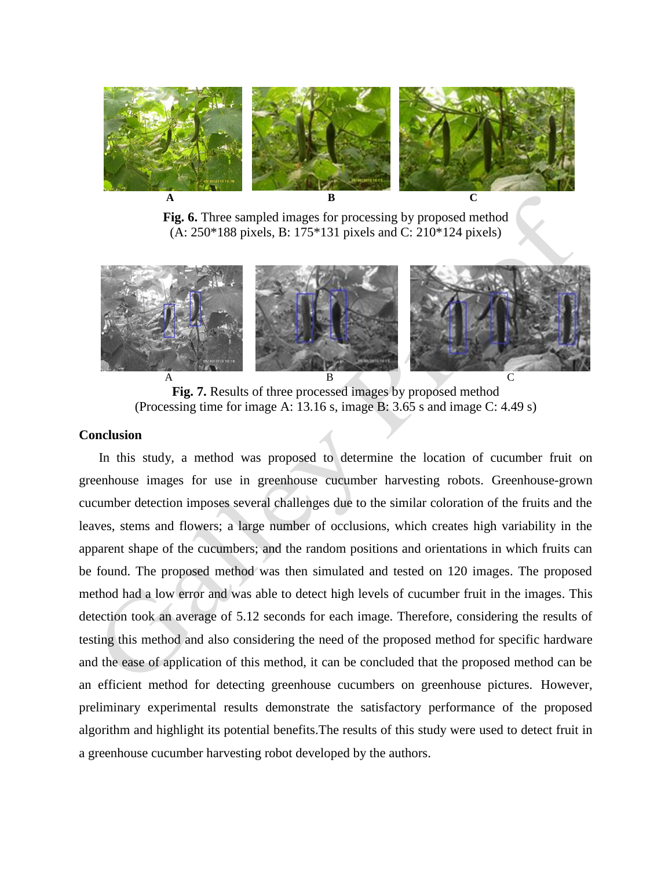

**Fig. 6.** Three sampled images for processing by proposed method (A: 250\*188 pixels, B: 175\*131 pixels and C: 210\*124 pixels)



**Fig. 7.** Results of three processed images by proposed method (Processing time for image A: 13.16 s, image B: 3.65 s and image C: 4.49 s)

## **Conclusion**

In this study, a method was proposed to determine the location of cucumber fruit on greenhouse images for use in greenhouse cucumber harvesting robots. Greenhouse-grown cucumber detection imposes several challenges due to the similar coloration of the fruits and the leaves, stems and flowers; a large number of occlusions, which creates high variability in the apparent shape of the cucumbers; and the random positions and orientations in which fruits can be found. The proposed method was then simulated and tested on 120 images. The proposed method had a low error and was able to detect high levels of cucumber fruit in the images. This detection took an average of 5.12 seconds for each image. Therefore, considering the results of testing this method and also considering the need of the proposed method for specific hardware and the ease of application of this method, it can be concluded that the proposed method can be an efficient method for detecting greenhouse cucumbers on greenhouse pictures. However, preliminary experimental results demonstrate the satisfactory performance of the proposed algorithm and highlight its potential benefits.The results of this study were used to detect fruit in a greenhouse cucumber harvesting robot developed by the authors.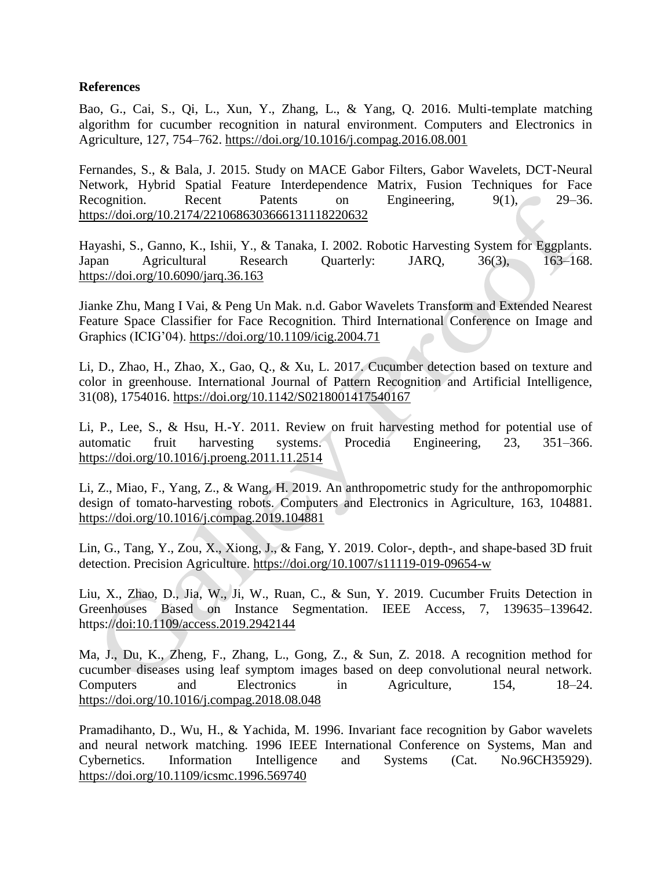## **References**

Bao, G., Cai, S., Qi, L., Xun, Y., Zhang, L., & Yang, Q. 2016. Multi-template matching algorithm for cucumber recognition in natural environment. Computers and Electronics in Agriculture, 127, 754–762. <https://doi.org/10.1016/j.compag.2016.08.001>

Fernandes, S., & Bala, J. 2015. Study on MACE Gabor Filters, Gabor Wavelets, DCT-Neural Network, Hybrid Spatial Feature Interdependence Matrix, Fusion Techniques for Face Recognition. Recent Patents on Engineering, 9(1), 29–36. <https://doi.org/10.2174/2210686303666131118220632>

Hayashi, S., Ganno, K., Ishii, Y., & Tanaka, I. 2002. Robotic Harvesting System for Eggplants. Japan Agricultural Research Quarterly: JARQ, 36(3), 163–168. <https://doi.org/10.6090/jarq.36.163>

Jianke Zhu, Mang I Vai, & Peng Un Mak. n.d. Gabor Wavelets Transform and Extended Nearest Feature Space Classifier for Face Recognition. Third International Conference on Image and Graphics (ICIG'04). <https://doi.org/10.1109/icig.2004.71>

Li, D., Zhao, H., Zhao, X., Gao, Q., & Xu, L. 2017. Cucumber detection based on texture and color in greenhouse. International Journal of Pattern Recognition and Artificial Intelligence, 31(08), 1754016. https://doi.org/10.1142/S0218001417540167

Li, P., Lee, S., & Hsu, H.-Y. 2011. Review on fruit harvesting method for potential use of automatic fruit harvesting systems. Procedia Engineering, 23, 351–366. <https://doi.org/10.1016/j.proeng.2011.11.2514>

Li, Z., Miao, F., Yang, Z., & Wang, H. 2019. An anthropometric study for the anthropomorphic design of tomato-harvesting robots. Computers and Electronics in Agriculture, 163, 104881. <https://doi.org/10.1016/j.compag.2019.104881>

Lin, G., Tang, Y., Zou, X., Xiong, J., & Fang, Y. 2019. Color-, depth-, and shape-based 3D fruit detection. Precision Agriculture.<https://doi.org/10.1007/s11119-019-09654-w>

Liu, X., Zhao, D., Jia, W., Ji, W., Ruan, C., & Sun, Y. 2019. Cucumber Fruits Detection in Greenhouses Based on Instance Segmentation. IEEE Access, 7, 139635–139642. https://doi:10.1109/access.2019.2942144

Ma, J., Du, K., Zheng, F., Zhang, L., Gong, Z., & Sun, Z. 2018. A recognition method for cucumber diseases using leaf symptom images based on deep convolutional neural network. Computers and Electronics in Agriculture, 154, 18–24. <https://doi.org/10.1016/j.compag.2018.08.048>

Pramadihanto, D., Wu, H., & Yachida, M. 1996. Invariant face recognition by Gabor wavelets and neural network matching. 1996 IEEE International Conference on Systems, Man and Cybernetics. Information Intelligence and Systems (Cat. No.96CH35929). <https://doi.org/10.1109/icsmc.1996.569740>